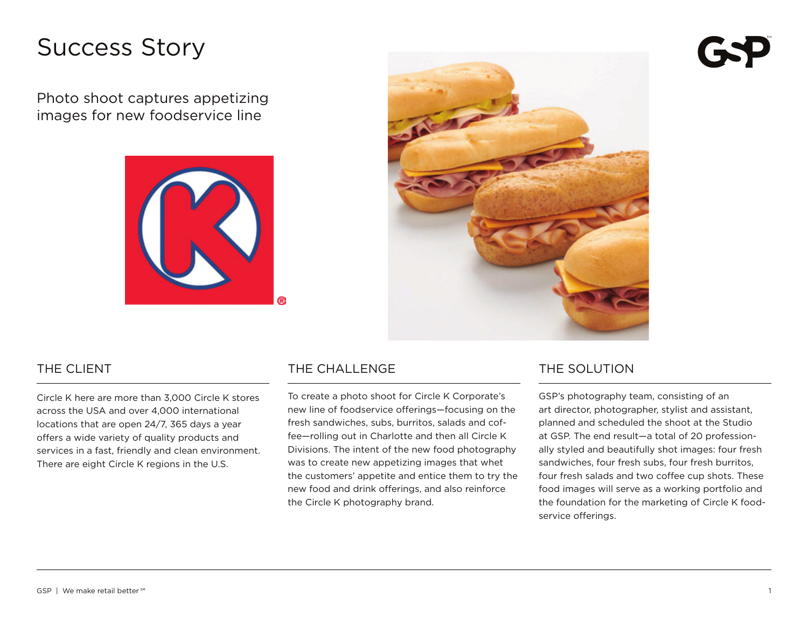# Success Story

Photo shoot captures appetizing images for new foodservice line





#### THE CLIENT

Circle K here are more than 3,000 Circle K stores across the USA and over 4,000 international locations that are open 24/7, 365 days a year offers a wide variety of quality products and services in a fast, friendly and clean environment. There are eight Circle K regions in the U.S.

### THE CHALL ENGE

To create a photo shoot for Circle K Corporate's new line of foodservice offerings—focusing on the fresh sandwiches, subs, burritos, salads and coffee—rolling out in Charlotte and then all Circle K Divisions. The intent of the new food photography was to create new appetizing images that whet the customers' appetite and entice them to try the new food and drink offerings, and also reinforce the Circle K photography brand.

#### The Solution

GSP's photography team, consisting of an art director, photographer, stylist and assistant, planned and scheduled the shoot at the Studio at GSP. The end result—a total of 20 professionally styled and beautifully shot images: four fresh sandwiches, four fresh subs, four fresh burritos, four fresh salads and two coffee cup shots. These food images will serve as a working portfolio and the foundation for the marketing of Circle K foodservice offerings.